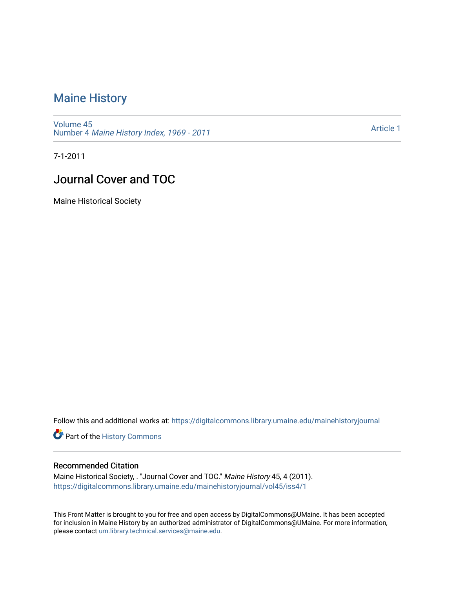### [Maine History](https://digitalcommons.library.umaine.edu/mainehistoryjournal)

[Volume 45](https://digitalcommons.library.umaine.edu/mainehistoryjournal/vol45) Number 4 [Maine History Index, 1969 - 2011](https://digitalcommons.library.umaine.edu/mainehistoryjournal/vol45/iss4) 

[Article 1](https://digitalcommons.library.umaine.edu/mainehistoryjournal/vol45/iss4/1) 

7-1-2011

### Journal Cover and TOC

Maine Historical Society

Follow this and additional works at: [https://digitalcommons.library.umaine.edu/mainehistoryjournal](https://digitalcommons.library.umaine.edu/mainehistoryjournal?utm_source=digitalcommons.library.umaine.edu%2Fmainehistoryjournal%2Fvol45%2Fiss4%2F1&utm_medium=PDF&utm_campaign=PDFCoverPages) 

Part of the [History Commons](http://network.bepress.com/hgg/discipline/489?utm_source=digitalcommons.library.umaine.edu%2Fmainehistoryjournal%2Fvol45%2Fiss4%2F1&utm_medium=PDF&utm_campaign=PDFCoverPages) 

#### Recommended Citation

Maine Historical Society, . "Journal Cover and TOC." Maine History 45, 4 (2011). [https://digitalcommons.library.umaine.edu/mainehistoryjournal/vol45/iss4/1](https://digitalcommons.library.umaine.edu/mainehistoryjournal/vol45/iss4/1?utm_source=digitalcommons.library.umaine.edu%2Fmainehistoryjournal%2Fvol45%2Fiss4%2F1&utm_medium=PDF&utm_campaign=PDFCoverPages)

This Front Matter is brought to you for free and open access by DigitalCommons@UMaine. It has been accepted for inclusion in Maine History by an authorized administrator of DigitalCommons@UMaine. For more information, please contact [um.library.technical.services@maine.edu.](mailto:um.library.technical.services@maine.edu)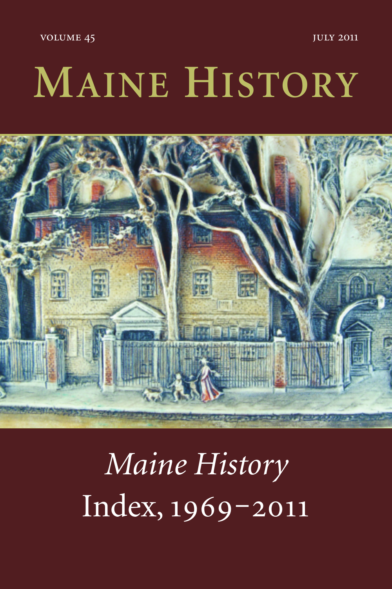**JULY 2011** 

**VOLUME 45** 

# MAINE HISTORY



Maine History Index, 1969-2011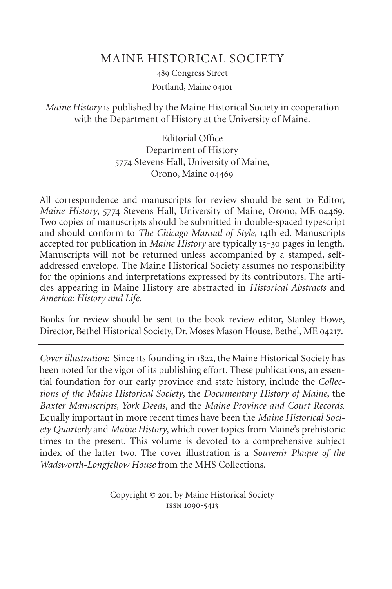#### MAINE HISTORICAL SOCIETY

489 Congress Street Portland, Maine

*Maine History* is published by the Maine Historical Society in cooperation with the Department of History at the University of Maine.

> Editorial Office Department of History 5774 Stevens Hall, University of Maine, Orono, Maine

All correspondence and manuscripts for review should be sent to Editor, *Maine History*, 5774 Stevens Hall, University of Maine, Orono, ME 04469. Two copies of manuscripts should be submitted in double-spaced typescript and should conform to *The Chicago Manual of Style*, 14th ed. Manuscripts accepted for publication in *Maine History* are typically 15-30 pages in length. Manuscripts will not be returned unless accompanied by a stamped, selfaddressed envelope. The Maine Historical Society assumes no responsibility for the opinions and interpretations expressed by its contributors. The articles appearing in Maine History are abstracted in *Historical Abstracts* and *America: History and Life*.

Books for review should be sent to the book review editor, Stanley Howe, Director, Bethel Historical Society, Dr. Moses Mason House, Bethel, ME 04217.

*Cover illustration:* Since its founding in 1822, the Maine Historical Society has been noted for the vigor of its publishing effort. These publications, an essential foundation for our early province and state history, include the *Collections of the Maine Historical Society*, the *Documentary History of Maine*, the *Baxter Manuscripts*, *York Deeds*, and the *Maine Province and Court Records*. Equally important in more recent times have been the *Maine Historical Society Quarterly* and *Maine History*, which cover topics from Maine's prehistoric times to the present. This volume is devoted to a comprehensive subject index of the latter two. The cover illustration is a *Souvenir Plaque of the Wadsworth-Longfellow House* from the MHS Collections.

> Copyright © 2011 by Maine Historical Society ISSN 1090-5413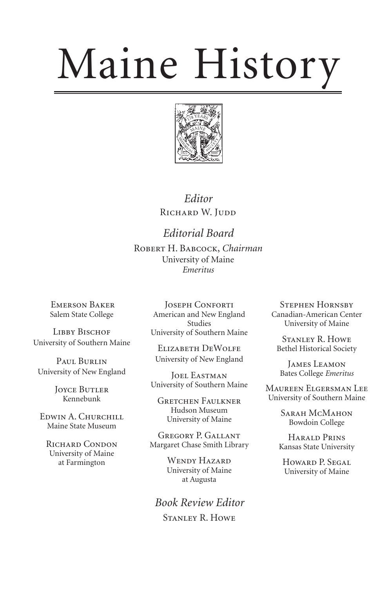# Maine History



*Editor* RICHARD W. JUDD

*Editorial Board* ROBERT H. BABCOCK, Chairman University of Maine *Emeritus*

EMERSON BAKER Salem State College

LIBBY BISCHOF University of Southern Maine

PAUL BURLIN University of New England

> **JOYCE BUTLER** Kennebunk

EDWIN A. CHURCHILL Maine State Museum

RICHARD CONDON University of Maine at Farmington

JOSEPH CONFORTI American and New England Studies University of Southern Maine

ELIZABETH DEWOLFE University of New England

**JOEL EASTMAN** University of Southern Maine

**GRETCHEN FAULKNER** Hudson Museum University of Maine

GREGORY P. GALLANT Margaret Chase Smith Library

> WENDY HAZARD University of Maine at Augusta

*Book Review Editor* STANLEY R. HOWE

**STEPHEN HORNSBY** Canadian-American Center University of Maine

STANLEY R. HOWE Bethel Historical Society

JAMES LEAMON Bates College *Emeritus* 

MAUREEN ELGERSMAN LEE University of Southern Maine

> SARAH MCMAHON Bowdoin College

HARALD PRINS Kansas State University

HOWARD P. SEGAL University of Maine